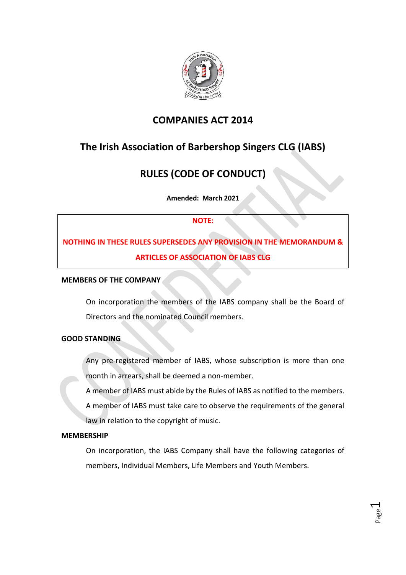

## **COMPANIES ACT 2014**

# **The Irish Association of Barbershop Singers CLG (IABS)**

# **RULES (CODE OF CONDUCT)**

**Amended: March 2021**

## **NOTE:**

# **NOTHING IN THESE RULES SUPERSEDES ANY PROVISION IN THE MEMORANDUM & ARTICLES OF ASSOCIATION OF IABS CLG**

## **MEMBERS OF THE COMPANY**

On incorporation the members of the IABS company shall be the Board of Directors and the nominated Council members.

## **GOOD STANDING**

Any pre-registered member of IABS, whose subscription is more than one month in arrears, shall be deemed a non-member.

A member of IABS must abide by the Rules of IABS as notified to the members.

A member of IABS must take care to observe the requirements of the general law in relation to the copyright of music.

## **MEMBERSHIP**

On incorporation, the IABS Company shall have the following categories of members, Individual Members, Life Members and Youth Members.

> Page  $\overline{\phantom{0}}$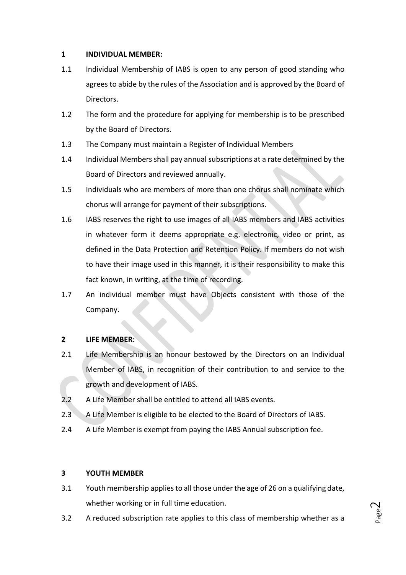## **1 INDIVIDUAL MEMBER:**

- 1.1 Individual Membership of IABS is open to any person of good standing who agrees to abide by the rules of the Association and is approved by the Board of Directors.
- 1.2 The form and the procedure for applying for membership is to be prescribed by the Board of Directors.
- 1.3 The Company must maintain a Register of Individual Members
- 1.4 Individual Members shall pay annual subscriptions at a rate determined by the Board of Directors and reviewed annually.
- 1.5 Individuals who are members of more than one chorus shall nominate which chorus will arrange for payment of their subscriptions.
- 1.6 IABS reserves the right to use images of all IABS members and IABS activities in whatever form it deems appropriate e.g. electronic, video or print, as defined in the Data Protection and Retention Policy. If members do not wish to have their image used in this manner, it is their responsibility to make this fact known, in writing, at the time of recording.
- 1.7 An individual member must have Objects consistent with those of the Company.

## **2 LIFE MEMBER:**

- 2.1 Life Membership is an honour bestowed by the Directors on an Individual Member of IABS, in recognition of their contribution to and service to the growth and development of IABS.
- 2.2 A Life Member shall be entitled to attend all IABS events.
- 2.3 A Life Member is eligible to be elected to the Board of Directors of IABS.
- 2.4 A Life Member is exempt from paying the IABS Annual subscription fee.

## **3 YOUTH MEMBER**

- 3.1 Youth membership applies to all those under the age of 26 on a qualifying date, whether working or in full time education.
- 3.2 A reduced subscription rate applies to this class of membership whether as a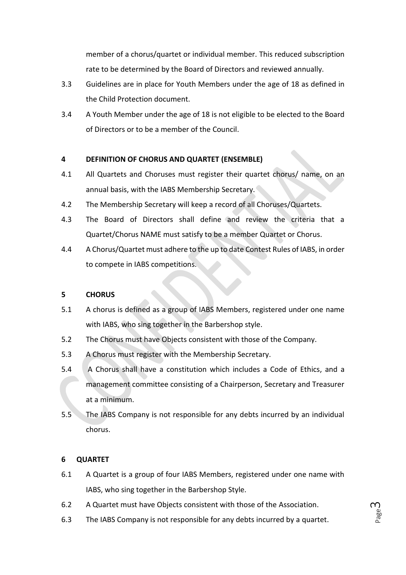member of a chorus/quartet or individual member. This reduced subscription rate to be determined by the Board of Directors and reviewed annually.

- 3.3 Guidelines are in place for Youth Members under the age of 18 as defined in the Child Protection document.
- 3.4 A Youth Member under the age of 18 is not eligible to be elected to the Board of Directors or to be a member of the Council.

## **4 DEFINITION OF CHORUS AND QUARTET (ENSEMBLE)**

- 4.1 All Quartets and Choruses must register their quartet chorus/ name, on an annual basis, with the IABS Membership Secretary.
- 4.2 The Membership Secretary will keep a record of all Choruses/Quartets.
- 4.3 The Board of Directors shall define and review the criteria that a Quartet/Chorus NAME must satisfy to be a member Quartet or Chorus.
- 4.4 A Chorus/Quartet must adhere to the up to date Contest Rules of IABS, in order to compete in IABS competitions.

#### **5 CHORUS**

- 5.1 A chorus is defined as a group of IABS Members, registered under one name with IABS, who sing together in the Barbershop style.
- 5.2 The Chorus must have Objects consistent with those of the Company.
- 5.3 A Chorus must register with the Membership Secretary.
- 5.4 A Chorus shall have a constitution which includes a Code of Ethics, and a management committee consisting of a Chairperson, Secretary and Treasurer at a minimum.
- 5.5 The IABS Company is not responsible for any debts incurred by an individual chorus.

#### **6 QUARTET**

- 6.1 A Quartet is a group of four IABS Members, registered under one name with IABS, who sing together in the Barbershop Style*.*
- 6.2 A Quartet must have Objects consistent with those of the Association.
- 6.3 The IABS Company is not responsible for any debts incurred by a quartet.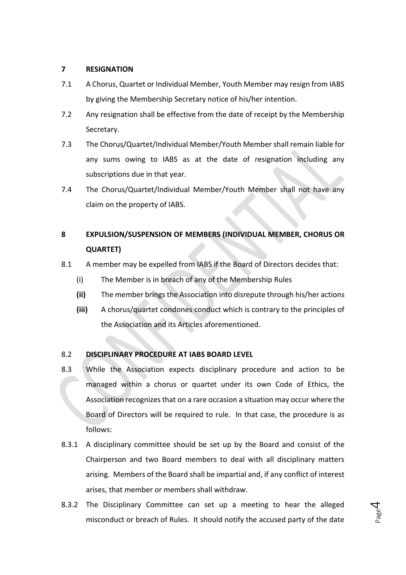#### **7 RESIGNATION**

- 7.1 A Chorus, Quartet or Individual Member, Youth Member may resign from IABS by giving the Membership Secretary notice of his/her intention.
- 7.2 Any resignation shall be effective from the date of receipt by the Membership Secretary.
- 7.3 The Chorus/Quartet/Individual Member/Youth Member shall remain liable for any sums owing to IABS as at the date of resignation including any subscriptions due in that year.
- 7.4 The Chorus/Quartet/Individual Member/Youth Member shall not have any claim on the property of IABS.

## **8 EXPULSION/SUSPENSION OF MEMBERS (INDIVIDUAL MEMBER, CHORUS OR QUARTET)**

- 8.1 A member may be expelled from IABS if the Board of Directors decides that:
	- (i) The Member is in breach of any of the Membership Rules
	- **(ii)** The member brings the Association into disrepute through his/her actions
	- **(iii)** A chorus/quartet condones conduct which is contrary to the principles of the Association and its Articles aforementioned.

## 8.2 **DISCIPLINARY PROCEDURE AT IABS BOARD LEVEL**

- 8.3 While the Association expects disciplinary procedure and action to be managed within a chorus or quartet under its own Code of Ethics, the Association recognizes that on a rare occasion a situation may occur where the Board of Directors will be required to rule. In that case, the procedure is as follows:
- 8.3.1 A disciplinary committee should be set up by the Board and consist of the Chairperson and two Board members to deal with all disciplinary matters arising. Members of the Board shall be impartial and, if any conflict of interest arises, that member or members shall withdraw.
- 8.3.2 The Disciplinary Committee can set up a meeting to hear the alleged misconduct or breach of Rules. It should notify the accused party of the date

Page 4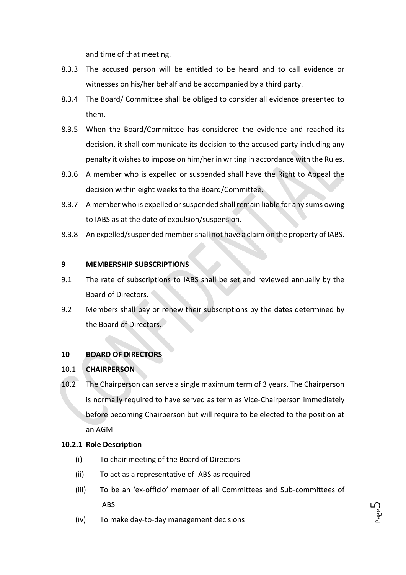and time of that meeting.

- 8.3.3 The accused person will be entitled to be heard and to call evidence or witnesses on his/her behalf and be accompanied by a third party.
- 8.3.4 The Board/ Committee shall be obliged to consider all evidence presented to them.
- 8.3.5 When the Board/Committee has considered the evidence and reached its decision, it shall communicate its decision to the accused party including any penalty it wishes to impose on him/her in writing in accordance with the Rules.
- 8.3.6 A member who is expelled or suspended shall have the Right to Appeal the decision within eight weeks to the Board/Committee.
- 8.3.7 A member who is expelled or suspended shall remain liable for any sums owing to IABS as at the date of expulsion/suspension.
- 8.3.8 An expelled/suspended member shall not have a claim on the property of IABS.

#### **9 MEMBERSHIP SUBSCRIPTIONS**

- 9.1 The rate of subscriptions to IABS shall be set and reviewed annually by the Board of Directors.
- 9.2 Members shall pay or renew their subscriptions by the dates determined by the Board of Directors.

## **10 BOARD OF DIRECTORS**

## 10.1 **CHAIRPERSON**

10.2 The Chairperson can serve a single maximum term of 3 years. The Chairperson is normally required to have served as term as Vice-Chairperson immediately before becoming Chairperson but will require to be elected to the position at an AGM

#### **10.2.1 Role Description**

- (i) To chair meeting of the Board of Directors
- (ii) To act as a representative of IABS as required
- (iii) To be an 'ex-officio' member of all Committees and Sub-committees of IABS
- (iv) To make day-to-day management decisions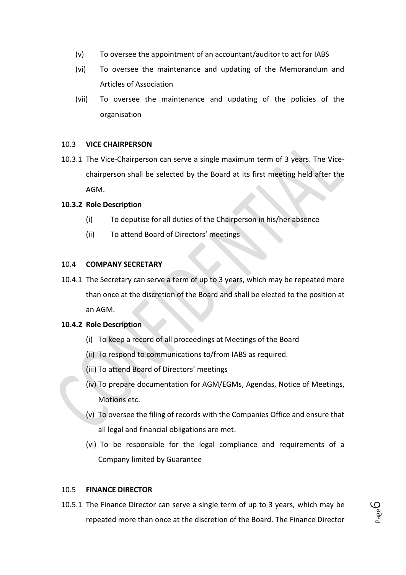- (v) To oversee the appointment of an accountant/auditor to act for IABS
- (vi) To oversee the maintenance and updating of the Memorandum and Articles of Association
- (vii) To oversee the maintenance and updating of the policies of the organisation

#### 10.3 **VICE CHAIRPERSON**

10.3.1 The Vice-Chairperson can serve a single maximum term of 3 years. The Vicechairperson shall be selected by the Board at its first meeting held after the AGM.

#### **10.3.2 Role Description**

- (i) To deputise for all duties of the Chairperson in his/her absence
- (ii) To attend Board of Directors' meetings

## 10.4 **COMPANY SECRETARY**

10.4.1 The Secretary can serve a term of up to 3 years, which may be repeated more than once at the discretion of the Board and shall be elected to the position at an AGM.

#### **10.4.2 Role Description**

- (i) To keep a record of all proceedings at Meetings of the Board
- (ii) To respond to communications to/from IABS as required.
- (iii) To attend Board of Directors' meetings
- (iv) To prepare documentation for AGM/EGMs, Agendas, Notice of Meetings, Motions etc.
- (v) To oversee the filing of records with the Companies Office and ensure that all legal and financial obligations are met.
- (vi) To be responsible for the legal compliance and requirements of a Company limited by Guarantee

## 10.5 **FINANCE DIRECTOR**

10.5.1 The Finance Director can serve a single term of up to 3 years*,* which may be repeated more than once at the discretion of the Board*.* The Finance Director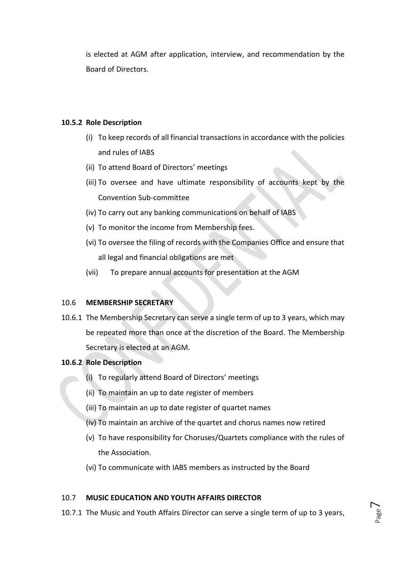is elected at AGM after application, interview, and recommendation by the Board of Directors.

#### **10.5.2 Role Description**

- (i) To keep records of all financial transactions in accordance with the policies and rules of IABS
- (ii) To attend Board of Directors' meetings
- (iii) To oversee and have ultimate responsibility of accounts kept by the Convention Sub-committee
- (iv) To carry out any banking communications on behalf of IABS
- (v) To monitor the income from Membership fees.
- (vi) To oversee the filing of records with the Companies Office and ensure that all legal and financial obligations are met
- (vii) To prepare annual accounts for presentation at the AGM

#### 10.6 **MEMBERSHIP SECRETARY**

10.6.1 The Membership Secretary can serve a single term of up to 3 years, which may be repeated more than once at the discretion of the Board. The Membership Secretary is elected at an AGM.

## **10.6.2 Role Description**

- (i) To regularly attend Board of Directors' meetings
- (ii) To maintain an up to date register of members
- (iii) To maintain an up to date register of quartet names
- (iv) To maintain an archive of the quartet and chorus names now retired
- (v) To have responsibility for Choruses/Quartets compliance with the rules of the Association.
- (vi) To communicate with IABS members as instructed by the Board

#### 10.7 **MUSIC EDUCATION AND YOUTH AFFAIRS DIRECTOR**

10.7.1 The Music and Youth Affairs Director can serve a single term of up to 3 years,